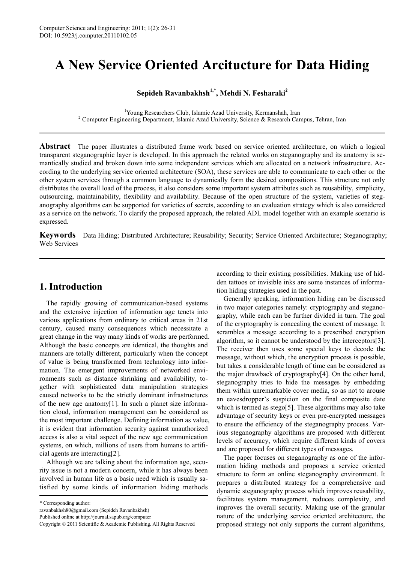# **A New Service Oriented Arcitucture for Data Hiding**

### **Sepideh Ravanbakhsh1,\*, Mehdi N. Fesharaki2**

<sup>1</sup>Young Researchers Club, Islamic Azad University, Kermanshah, Iran <sup>2</sup> Computer Engineering Department, Islamic Azad University, Science & Research Campus, Tehran, Iran

**Abstract** The paper illustrates a distributed frame work based on service oriented architecture, on which a logical transparent steganographic layer is developed. In this approach the related works on steganography and its anatomy is semantically studied and broken down into some independent services which are allocated on a network infrastructure. According to the underlying service oriented architecture (SOA), these services are able to communicate to each other or the other system services through a common language to dynamically form the desired compositions. This structure not only distributes the overall load of the process, it also considers some important system attributes such as reusability, simplicity, outsourcing, maintainability, flexibility and availability. Because of the open structure of the system, varieties of steganography algorithms can be supported for varieties of secrets, according to an evaluation strategy which is also considered as a service on the network. To clarify the proposed approach, the related ADL model together with an example scenario is expressed.

**Keywords** Data Hiding; Distributed Architecture; Reusability; Security; Service Oriented Architecture; Steganography; Web Services

### **1. Introduction**

The rapidly growing of communication-based systems and the extensive injection of information age tenets into various applications from ordinary to critical areas in 21st century, caused many consequences which necessitate a great change in the way many kinds of works are performed. Although the basic concepts are identical, the thoughts and manners are totally different, particularly when the concept of value is being transformed from technology into information. The emergent improvements of networked environments such as distance shrinking and availability, together with sophisticated data manipulation strategies caused networks to be the strictly dominant infrastructures of the new age anatomy[1]. In such a planet size information cloud, information management can be considered as the most important challenge. Defining information as value, it is evident that information security against unauthorized access is also a vital aspect of the new age communication systems, on which, millions of users from humans to artificial agents are interacting[2].

Although we are talking about the information age, security issue is not a modern concern, while it has always been involved in human life as a basic need which is usually satisfied by some kinds of information hiding methods

\* Corresponding author:

ravanbakhsh80@gmail.com (Sepideh Ravanbakhsh)

according to their existing possibilities. Making use of hidden tattoos or invisible inks are some instances of information hiding strategies used in the past.

Generally speaking, information hiding can be discussed in two major categories namely: cryptography and steganography, while each can be further divided in turn. The goal of the cryptography is concealing the context of message. It scrambles a message according to a prescribed encryption algorithm, so it cannot be understood by the interceptors[3]. The receiver then uses some special keys to decode the message, without which, the encryption process is possible, but takes a considerable length of time can be considered as the major drawback of cryptography[4]. On the other hand, steganography tries to hide the messages by embedding them within unremarkable cover media, so as not to arouse an eavesdropper's suspicion on the final composite date which is termed as stego[5]. These algorithms may also take advantage of security keys or even pre-encrypted messages to ensure the efficiency of the steganography process. Various steganography algorithms are proposed with different levels of accuracy, which require different kinds of covers and are proposed for different types of messages.

The paper focuses on steganography as one of the information hiding methods and proposes a service oriented structure to form an online steganography environment. It prepares a distributed strategy for a comprehensive and dynamic steganography process which improves reusability, facilitates system management, reduces complexity, and improves the overall security. Making use of the granular nature of the underlying service oriented architecture, the proposed strategy not only supports the current algorithms,

Published online at http://journal.sapub.org/computer

Copyright © 2011 Scientific & Academic Publishing. All Rights Reserved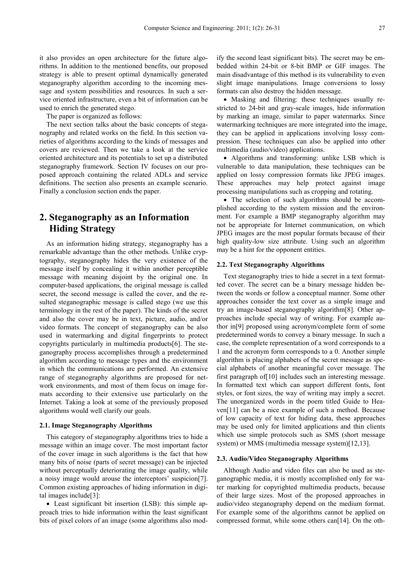it also provides an open architecture for the future algorithms. In addition to the mentioned benefits, our proposed strategy is able to present optimal dynamically generated steganography algorithm according to the incoming message and system possibilities and resources. In such a service oriented infrastructure, even a bit of information can be used to enrich the generated stego.

The paper is organized as follows:

The next section talks about the basic concepts of steganography and related works on the field. In this section varieties of algorithms according to the kinds of messages and covers are reviewed. Then we take a look at the service oriented architecture and its potentials to set up a distributed steganography framework. Section IV focuses on our proposed approach containing the related ADLs and service definitions. The section also presents an example scenario. Finally a conclusion section ends the paper.

# **2. Steganography as an Information Hiding Strategy**

As an information hiding strategy, steganography has a remarkable advantage than the other methods. Unlike cryptography, steganography hides the very existence of the message itself by concealing it within another perceptible message with meaning disjoint by the original one. In computer-based applications, the original message is called secret, the second message is called the cover, and the resulted steganographic message is called stego (we use this terminology in the rest of the paper). The kinds of the secret and also the cover may be in text, picture, audio, and/or video formats. The concept of steganography can be also used in watermarking and digital fingerprints to protect copyrights particularly in multimedia products[6]. The steganography process accomplishes through a predetermined algorithm according to message types and the environment in which the communications are performed. An extensive range of steganography algorithms are proposed for network environments, and most of them focus on image formats according to their extensive use particularly on the Internet. Taking a look at some of the previously proposed algorithms would well clarify our goals.

#### **2.1. Image Steganography Algorithms**

This category of steganography algorithms tries to hide a message within an image cover. The most important factor of the cover image in such algorithms is the fact that how many bits of noise (parts of secret message) can be injected without perceptually deteriorating the image quality, while a noisy image would arouse the interceptors' suspicion[7]. Common existing approaches of hiding information in digital images include[3]:

• Least significant bit insertion (LSB): this simple approach tries to hide information within the least significant bits of pixel colors of an image (some algorithms also mod-

ify the second least significant bits). The secret may be embedded within 24-bit or 8-bit BMP or GIF images. The main disadvantage of this method is its vulnerability to even slight image manipulations. Image conversions to lossy formats can also destroy the hidden message.

• Masking and filtering: these techniques usually restricted to 24-bit and gray-scale images, hide information by marking an image, similar to paper watermarks. Since watermarking techniques are more integrated into the image, they can be applied in applications involving lossy compression. These techniques can also be applied into other multimedia (audio/video) applications.

• Algorithms and transforming: unlike LSB which is vulnerable to data manipulation, these techniques can be applied on lossy compression formats like JPEG images. These approaches may help protect against image processing manipulations such as cropping and rotating.

• The selection of such algorithms should be accomplished according to the system mission and the environment. For example a BMP steganography algorithm may not be appropriate for Internet communication, on which JPEG images are the most popular formats because of their high quality-low size attribute. Using such an algorithm may be a hint for the opponent entities.

#### **2.2. Text Steganography Algorithms**

Text steganography tries to hide a secret in a text formatted cover. The secret can be a binary message hidden between the words or follow a conceptual manner. Some other approaches consider the text cover as a simple image and try an image-based steganography algorithm[8]. Other approaches include special way of writing. For example author in[9] proposed using acronym/complete form of some predetermined words to convey a binary message. In such a case, the complete representation of a word corresponds to a 1 and the acronym form corresponds to a 0. Another simple algorithm is placing alphabets of the secret message as special alphabets of another meaningful cover message. The first paragraph of[10] includes such an interesting message. In formatted text which can support different fonts, font styles, or font sizes, the way of writing may imply a secret. The unorganized words in the poem titled Guide to Heaven[11] can be a nice example of such a method. Because of low capacity of text for hiding data, these approaches may be used only for limited applications and thin clients which use simple protocols such as SMS (short message system) or MMS (multimedia message system)[12,13].

#### **2.3. Audio/Video Steganography Algorithms**

Although Audio and video files can also be used as steganographic media, it is mostly accomplished only for water marking for copyrighted multimedia products, because of their large sizes. Most of the proposed approaches in audio/video steganography depend on the medium format. For example some of the algorithms cannot be applied on compressed format, while some others can[14]. On the oth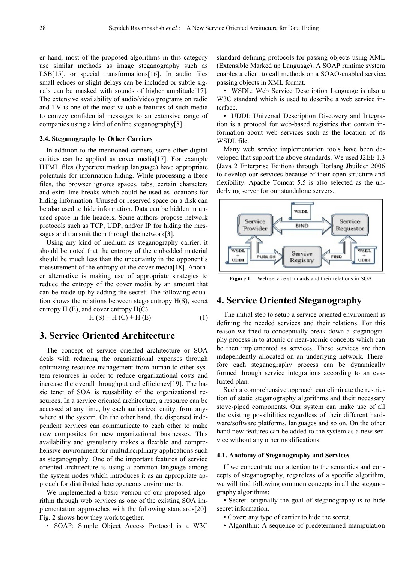er hand, most of the proposed algorithms in this category use similar methods as image steganography such as LSB[15], or special transformations[16]. In audio files small echoes or slight delays can be included or subtle signals can be masked with sounds of higher amplitude[17]. The extensive availability of audio/video programs on radio and TV is one of the most valuable features of such media to convey confidential messages to an extensive range of companies using a kind of online steganography[8].

#### **2.4. Steganography by Other Carriers**

In addition to the mentioned carriers, some other digital entities can be applied as cover media[17]. For example HTML files (hypertext markup language) have appropriate potentials for information hiding. While processing a these files, the browser ignores spaces, tabs, certain characters and extra line breaks which could be used as locations for hiding information. Unused or reserved space on a disk can be also used to hide information. Data can be hidden in unused space in file headers. Some authors propose network protocols such as TCP, UDP, and/or IP for hiding the messages and transmit them through the network[3].

Using any kind of medium as steganography carrier, it should be noted that the entropy of the embedded material should be much less than the uncertainty in the opponent's measurement of the entropy of the cover media[18]. Another alternative is making use of appropriate strategies to reduce the entropy of the cover media by an amount that can be made up by adding the secret. The following equation shows the relations between stego entropy H(S), secret entropy  $H(E)$ , and cover entropy  $H(C)$ .

$$
H(S) = H(C) + H(E)
$$
 (1)

### **3. Service Oriented Architecture**

The concept of service oriented architecture or SOA deals with reducing the organizational expenses through optimizing resource management from human to other system resources in order to reduce organizational costs and increase the overall throughput and efficiency[19]. The basic tenet of SOA is reusability of the organizational resources. In a service oriented architecture, a resource can be accessed at any time, by each authorized entity, from anywhere at the system. On the other hand, the dispersed independent services can communicate to each other to make new composites for new organizational businesses. This availability and granularity makes a flexible and comprehensive environment for multidisciplinary applications such as steganography. One of the important features of service oriented architecture is using a common language among the system nodes which introduces it as an appropriate approach for distributed heterogeneous environments.

We implemented a basic version of our proposed algorithm through web services as one of the existing SOA implementation approaches with the following standards[20]. Fig. 2 shows how they work together.

• SOAP: Simple Object Access Protocol is a W3C

standard defining protocols for passing objects using XML (Extensible Marked up Language). A SOAP runtime system enables a client to call methods on a SOAO-enabled service, passing objects in XML format.

• WSDL: Web Service Description Language is also a W<sub>3</sub>C standard which is used to describe a web service interface.

• UDDI: Universal Description Discovery and Integration is a protocol for web-based registries that contain information about web services such as the location of its WSDL file.

Many web service implementation tools have been developed that support the above standards. We used J2EE 1.3 (Java 2 Enterprise Edition) through Borlang Jbuilder 2006 to develop our services because of their open structure and flexibility. Apache Tomcat 5.5 is also selected as the underlying server for our standalone servers.



**Figure 1.** Web service standards and their relations in SOA

### **4. Service Oriented Steganography**

The initial step to setup a service oriented environment is defining the needed services and their relations. For this reason we tried to conceptually break down a steganography process in to atomic or near-atomic concepts which can be then implemented as services. These services are then independently allocated on an underlying network. Therefore each steganography process can be dynamically formed through service integrations according to an evaluated plan.

Such a comprehensive approach can eliminate the restriction of static steganography algorithms and their necessary stove-piped components. Our system can make use of all the existing possibilities regardless of their different hardware/software platforms, languages and so on. On the other hand new features can be added to the system as a new service without any other modifications.

#### **4.1. Anatomy of Steganography and Services**

If we concentrate our attention to the semantics and concepts of steganography, regardless of a specific algorithm, we will find following common concepts in all the steganography algorithms:

• Secret: originally the goal of steganography is to hide secret information.

- Cover: any type of carrier to hide the secret.
- Algorithm: A sequence of predetermined manipulation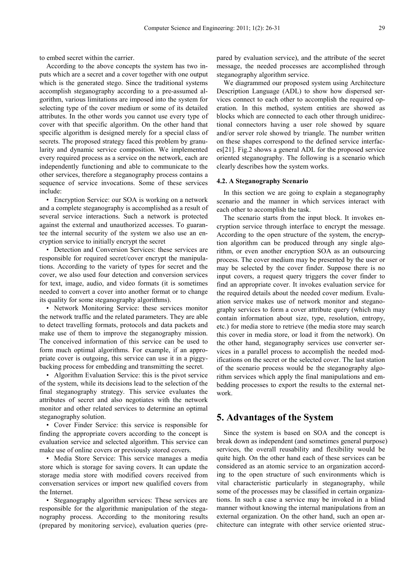to embed secret within the carrier.

According to the above concepts the system has two inputs which are a secret and a cover together with one output which is the generated stego. Since the traditional systems accomplish steganography according to a pre-assumed algorithm, various limitations are imposed into the system for selecting type of the cover medium or some of its detailed attributes. In the other words you cannot use every type of cover with that specific algorithm. On the other hand that specific algorithm is designed merely for a special class of secrets. The proposed strategy faced this problem by granularity and dynamic service composition. We implemented every required process as a service on the network, each are independently functioning and able to communicate to the other services, therefore a steganography process contains a sequence of service invocations. Some of these services include:

• Encryption Service: our SOA is working on a network and a complete steganography is accomplished as a result of several service interactions. Such a network is protected against the external and unauthorized accesses. To guarantee the internal security of the system we also use an encryption service to initially encrypt the secret

• Detection and Conversion Services: these services are responsible for required secret/cover encrypt the manipulations. According to the variety of types for secret and the cover, we also used four detection and conversion services for text, image, audio, and video formats (it is sometimes needed to convert a cover into another format or to change its quality for some steganography algorithms).

• Network Monitoring Service: these services monitor the network traffic and the related parameters. They are able to detect travelling formats, protocols and data packets and make use of them to improve the steganography mission. The conceived information of this service can be used to form much optimal algorithms. For example, if an appropriate cover is outgoing, this service can use it in a piggybacking process for embedding and transmitting the secret.

• Algorithm Evaluation Service: this is the pivot service of the system, while its decisions lead to the selection of the final steganography strategy. This service evaluates the attributes of secret and also negotiates with the network monitor and other related services to determine an optimal steganography solution.

• Cover Finder Service: this service is responsible for finding the appropriate covers according to the concept is evaluation service and selected algorithm. This service can make use of online covers or previously stored covers.

• Media Store Service: This service manages a media store which is storage for saving covers. It can update the storage media store with modified covers received from conversation services or import new qualified covers from the Internet.

• Steganography algorithm services: These services are responsible for the algorithmic manipulation of the steganography process. According to the monitoring results (prepared by monitoring service), evaluation queries (prepared by evaluation service), and the attribute of the secret message, the needed processes are accomplished through steganography algorithm service.

We diagrammed our proposed system using Architecture Description Language (ADL) to show how dispersed services connect to each other to accomplish the required operation. In this method, system entities are showed as blocks which are connected to each other through unidirectional connectors having a user role showed by square and/or server role showed by triangle. The number written on these shapes correspond to the defined service interfaces[21]. Fig.2 shows a general ADL for the proposed service oriented steganography. The following is a scenario which clearly describes how the system works.

#### **4.2. A Steganography Scenario**

In this section we are going to explain a steganography scenario and the manner in which services interact with each other to accomplish the task.

The scenario starts from the input block. It invokes encryption service through interface to encrypt the message. According to the open structure of the system, the encryption algorithm can be produced through any single algorithm, or even another encryption SOA as an outsourcing process. The cover medium may be presented by the user or may be selected by the cover finder. Suppose there is no input covers, a request query triggers the cover finder to find an appropriate cover. It invokes evaluation service for the required details about the needed cover medium. Evaluation service makes use of network monitor and steganography services to form a cover attribute query (which may contain information about size, type, resolution, entropy, etc.) for media store to retrieve (the media store may search this cover in media store, or load it from the network). On the other hand, steganography services use converter services in a parallel process to accomplish the needed modifications on the secret or the selected cover. The last station of the scenario process would be the steganography algorithm services which apply the final manipulations and embedding processes to export the results to the external network.

### **5. Advantages of the System**

Since the system is based on SOA and the concept is break down as independent (and sometimes general purpose) services, the overall reusability and flexibility would be quite high. On the other hand each of these services can be considered as an atomic service to an organization according to the open structure of such environments which is vital characteristic particularly in steganography, while some of the processes may be classified in certain organizations. In such a case a service may be invoked in a blind manner without knowing the internal manipulations from an external organization. On the other hand, such an open architecture can integrate with other service oriented struc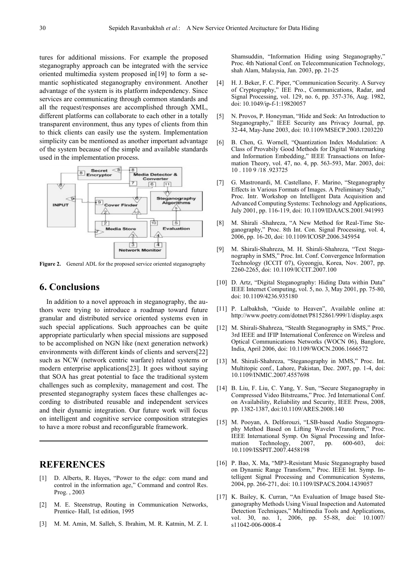tures for additional missions. For example the proposed steganography approach can be integrated with the service oriented multimedia system proposed in[19] to form a semantic sophisticated steganography environment. Another advantage of the system is its platform independency. Since services are communicating through common standards and all the request/responses are accomplished through XML, different platforms can collaborate to each other in a totally transparent environment, thus any types of clients from thin to thick clients can easily use the system. Implementation simplicity can be mentioned as another important advantage of the system because of the simple and available standards used in the implementation process.



**Figure 2.** General ADL for the proposed service oriented steganography

## **6. Conclusions**

In addition to a novel approach in steganography, the authors were trying to introduce a roadmap toward future granular and distributed service oriented systems even in such special applications. Such approaches can be quite appropriate particularly when special missions are supposed to be accomplished on NGN like (next generation network) environments with different kinds of clients and servers[22] such as NCW (network centric warfare) related systems or modern enterprise applications[23]. It goes without saying that SOA has great potential to face the traditional system challenges such as complexity, management and cost. The presented steganography system faces these challenges according to distributed reusable and independent services and their dynamic integration. Our future work will focus on intelligent and cognitive service composition strategies to have a more robust and reconfigurable framework.

### **REFERENCES**

- [1] D. Alberts, R. Hayes, "Power to the edge: com mand and control in the information age," Command and control Res. Prog. , 2003
- [2] M. E. Steenstrup, Routing in Communication Networks, Prentice- Hall, 1st edition, 1995
- [3] M. M. Amin, M. Salleh, S. Ibrahim, M. R. Katmin, M. Z. I.

Shamsuddin, "Information Hiding using Steganography," Proc. 4th National Conf. on Telecommunication Technology, shah Alam, Malaysia, Jan. 2003, pp. 21-25

- [4] H. J. Beker, F. C. Piper, "Communication Security. A Survey of Cryptography," IEE Pro., Communications, Radar, and Signal Processing, vol. 129, no. 6, pp. 357-376, Aug. 1982, doi: 10.1049/ip-f-1:19820057
- [5] N. Provos, P. Honeyman, "Hide and Seek: An Introduction to Steganography," IEEE Security ans Privacy Journal, pp. 32-44, May-June 2003, doi: 10.1109/MSECP.2003.1203220
- [6] B. Chen, G. Wornell, "Quantization Index Modulation: A Class of Provabily Good Methods for Digital Watermarking and Information Embedding," IEEE Transactions on Information Theory, vol. 47, no. 4, pp. 563-593, Mar. 2003, doi: 10 . 110 9 /18 .923725
- [7] G. Mastronardi, M. Castellano, F. Marino, "Steganography Effects in Various Formats of Images. A Preliminary Study," Proc. Intr. Workshop on Intelligent Data Acquisition and Advanced Computing Systems: Technology and Applications, July 2001, pp. 116-119, doi: 10.1109/IDAACS.2001.941993
- [8] M. Shirali -Shahreza, "A New Method for Real-Time Steganography," Proc. 8th Int. Con. Signal Processing, vol. 4, 2006, pp. 16-20, doi: 10.1109/ICOSP.2006.345954
- [9] M. Shirali-Shahreza, M. H. Shirali-Shahreza, "Text Steganography in SMS," Proc. Int. Conf. Convergence Information Technology (ICCIT 07), Gyeongju, Korea, Nov. 2007, pp. 2260-2265, doi: 10.1109/ICCIT.2007.100
- [10] D. Artz, "Digital Steganography: Hiding Data within Data" IEEE Internet Computing, vol. 5, no. 3, May 2001, pp. 75-80, doi: 10.1109/4236.935180
- [11] P. Lalbakhsh, "Guide to Heaven", Available online at: http://www.poetry.com/dotnet/P8152861/999/1/display.aspx
- [12] M. Shirali-Shahreza, "Stealth Steganography in SMS," Proc. 3rd IEEE and IFIP International Conference on Wireless and Optical Communications Networks (WOCN 06), Banglore, India, April 2006, doi: 10.1109/WOCN.2006.1666572
- [13] M. Shirali-Shahreza, "Steganography in MMS," Proc. Int. Multitopic conf., Lahore, Pakistan, Dec. 2007, pp. 1-4, doi: 10.1109/INMIC.2007.4557698
- [14] B. Liu, F. Liu, C. Yang, Y. Sun, "Secure Steganography in Compressed Video Bitstreams," Proc. 3rd International Conf. on Availability, Reliability and Security, IEEE Press, 2008, pp. 1382-1387, doi:10.1109/ARES.2008.140
- [15] M. Pooyan, A. Delforouzi, "LSB-based Audio Steganography Method Based on Lifting Wavelet Transform," Proc. IEEE International Symp. On Signal Processing and Information Technology, 2007, pp. 600-603, doi: 10.1109/ISSPIT.2007.4458198
- [16] P. Bao, X. Ma, "MP3-Resistant Music Steganography based on Dynamic Range Transform," Proc. IEEE Int. Symp. Intelligent Signal Processing and Communication Systems, 2004, pp. 266-271, doi: 10.1109/ISPACS.2004.1439057
- [17] K. Bailey, K. Curran, "An Evaluation of Image based Steganography Methods Using Visual Inspection and Automated Detection Techniques," Multimedia Tools and Applications, vol. 30, no. 1, 2006, pp. 55-88, doi: 10.1007/ s11042-006-0008-4